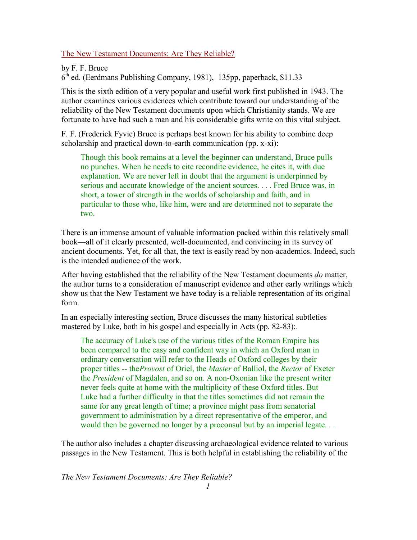The New Testament Documents: Are They Reliable?

by F. F. Bruce 6 th ed. (Eerdmans Publishing Company, 1981), 135pp, paperback, \$11.33

This is the sixth edition of a very popular and useful work first published in 1943. The author examines various evidences which contribute toward our understanding of the reliability of the New Testament documents upon which Christianity stands. We are fortunate to have had such a man and his considerable gifts write on this vital subject.

F. F. (Frederick Fyvie) Bruce is perhaps best known for his ability to combine deep scholarship and practical down-to-earth communication (pp. x-xi):

Though this book remains at a level the beginner can understand, Bruce pulls no punches. When he needs to cite recondite evidence, he cites it, with due explanation. We are never left in doubt that the argument is underpinned by serious and accurate knowledge of the ancient sources. . . . Fred Bruce was, in short, a tower of strength in the worlds of scholarship and faith, and in particular to those who, like him, were and are determined not to separate the two.

There is an immense amount of valuable information packed within this relatively small book—all of it clearly presented, well-documented, and convincing in its survey of ancient documents. Yet, for all that, the text is easily read by non-academics. Indeed, such is the intended audience of the work.

After having established that the reliability of the New Testament documents *do* matter, the author turns to a consideration of manuscript evidence and other early writings which show us that the New Testament we have today is a reliable representation of its original form.

In an especially interesting section, Bruce discusses the many historical subtleties mastered by Luke, both in his gospel and especially in Acts (pp. 82-83):.

The accuracy of Luke's use of the various titles of the Roman Empire has been compared to the easy and confident way in which an Oxford man in ordinary conversation will refer to the Heads of Oxford colleges by their proper titles -- the*Provost* of Oriel, the *Master* of Balliol, the *Rector* of Exeter the *President* of Magdalen, and so on. A non-Oxonian like the present writer never feels quite at home with the multiplicity of these Oxford titles. But Luke had a further difficulty in that the titles sometimes did not remain the same for any great length of time; a province might pass from senatorial government to administration by a direct representative of the emperor, and would then be governed no longer by a proconsul but by an imperial legate. . .

The author also includes a chapter discussing archaeological evidence related to various passages in the New Testament. This is both helpful in establishing the reliability of the

*The New Testament Documents: Are They Reliable?*